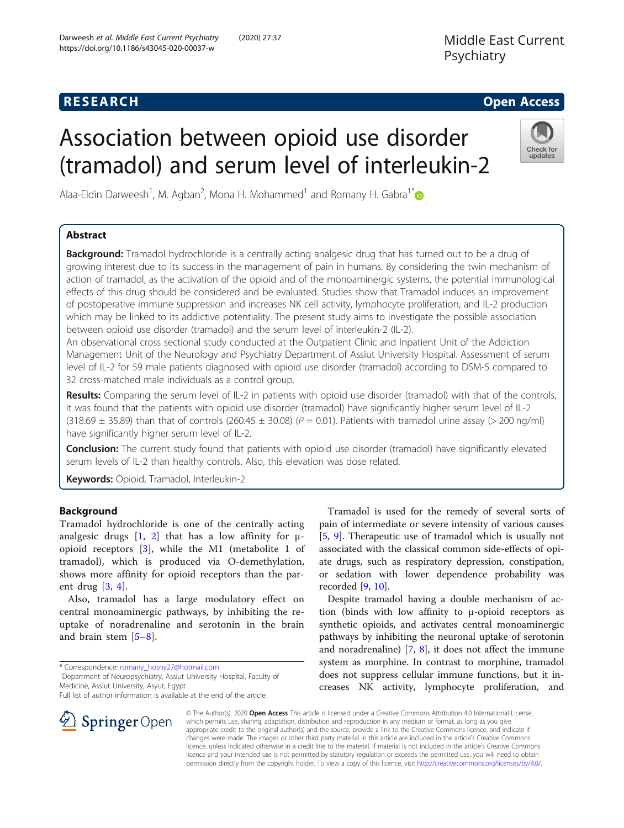## **RESEARCH CHE Open Access**

# Association between opioid use disorder (tramadol) and serum level of interleukin-2



Alaa-Eldin Darweesh<sup>1</sup>, M. Agban<sup>2</sup>, Mona H. Mohammed<sup>1</sup> and Romany H. Gabra<sup>1\*</sup>

## Abstract

**Background:** Tramadol hydrochloride is a centrally acting analgesic drug that has turned out to be a drug of growing interest due to its success in the management of pain in humans. By considering the twin mechanism of action of tramadol, as the activation of the opioid and of the monoaminergic systems, the potential immunological effects of this drug should be considered and be evaluated. Studies show that Tramadol induces an improvement of postoperative immune suppression and increases NK cell activity, lymphocyte proliferation, and IL-2 production which may be linked to its addictive potentiality. The present study aims to investigate the possible association between opioid use disorder (tramadol) and the serum level of interleukin-2 (IL-2).

An observational cross sectional study conducted at the Outpatient Clinic and Inpatient Unit of the Addiction Management Unit of the Neurology and Psychiatry Department of Assiut University Hospital. Assessment of serum level of IL-2 for 59 male patients diagnosed with opioid use disorder (tramadol) according to DSM-5 compared to 32 cross-matched male individuals as a control group.

Results: Comparing the serum level of IL-2 in patients with opioid use disorder (tramadol) with that of the controls, it was found that the patients with opioid use disorder (tramadol) have significantly higher serum level of IL-2  $(318.69 \pm 35.89)$  than that of controls  $(260.45 \pm 30.08)$  ( $P = 0.01$ ). Patients with tramadol urine assay (> 200 ng/ml) have significantly higher serum level of IL-2.

Conclusion: The current study found that patients with opioid use disorder (tramadol) have significantly elevated serum levels of IL-2 than healthy controls. Also, this elevation was dose related.

Keywords: Opioid, Tramadol, Interleukin-2

## Background

Tramadol hydrochloride is one of the centrally acting analgesic drugs  $[1, 2]$  $[1, 2]$  $[1, 2]$  $[1, 2]$  $[1, 2]$  that has a low affinity for  $\mu$ opioid receptors [\[3](#page-7-0)], while the M1 (metabolite 1 of tramadol), which is produced via O-demethylation, shows more affinity for opioid receptors than the parent drug [\[3](#page-7-0), [4\]](#page-7-0).

Also, tramadol has a large modulatory effect on central monoaminergic pathways, by inhibiting the reuptake of noradrenaline and serotonin in the brain and brain stem [[5](#page-7-0)–[8\]](#page-7-0).

\* Correspondence: [romany\\_hosny27@hotmail.com](mailto:romany_hosny27@hotmail.com) <sup>1</sup>

<sup>1</sup> Department of Neuropsychiatry, Assiut University Hospital, Faculty of Medicine, Assiut University, Asyut, Egypt

Full list of author information is available at the end of the article



Despite tramadol having a double mechanism of action (binds with low affinity to μ-opioid receptors as synthetic opioids, and activates central monoaminergic pathways by inhibiting the neuronal uptake of serotonin and noradrenaline)  $[7, 8]$  $[7, 8]$  $[7, 8]$  $[7, 8]$  $[7, 8]$ , it does not affect the immune system as morphine. In contrast to morphine, tramadol does not suppress cellular immune functions, but it increases NK activity, lymphocyte proliferation, and

© The Author(s). 2020 Open Access This article is licensed under a Creative Commons Attribution 4.0 International License, which permits use, sharing, adaptation, distribution and reproduction in any medium or format, as long as you give appropriate credit to the original author(s) and the source, provide a link to the Creative Commons licence, and indicate if changes were made. The images or other third party material in this article are included in the article's Creative Commons licence, unless indicated otherwise in a credit line to the material. If material is not included in the article's Creative Commons licence and your intended use is not permitted by statutory regulation or exceeds the permitted use, you will need to obtain permission directly from the copyright holder. To view a copy of this licence, visit <http://creativecommons.org/licenses/by/4.0/>.

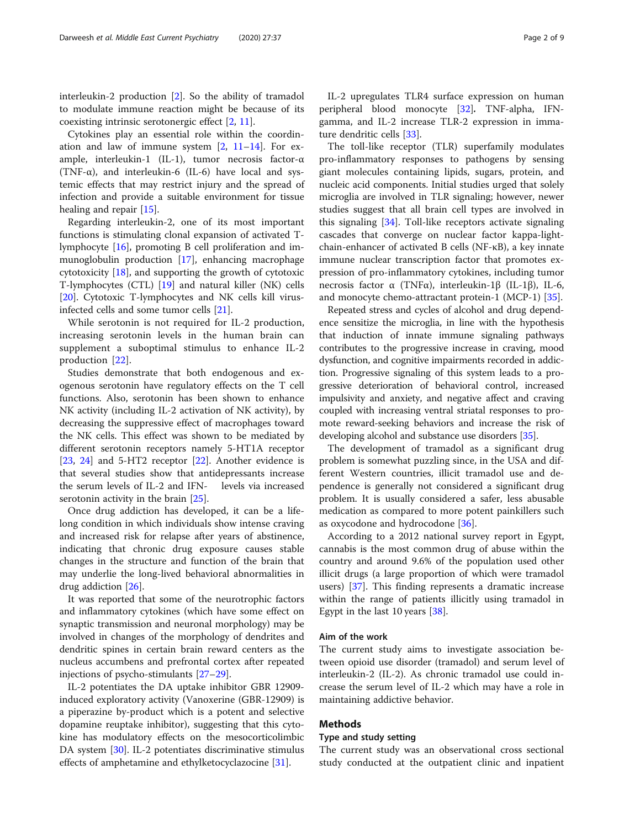interleukin-2 production [[2](#page-7-0)]. So the ability of tramadol to modulate immune reaction might be because of its coexisting intrinsic serotonergic effect [[2](#page-7-0), [11](#page-7-0)].

Cytokines play an essential role within the coordination and law of immune system  $[2, 11-14]$  $[2, 11-14]$  $[2, 11-14]$  $[2, 11-14]$  $[2, 11-14]$  $[2, 11-14]$ . For example, interleukin-1 (IL-1), tumor necrosis factor-α (TNF- $\alpha$ ), and interleukin-6 (IL-6) have local and systemic effects that may restrict injury and the spread of infection and provide a suitable environment for tissue healing and repair [[15\]](#page-7-0).

Regarding interleukin-2, one of its most important functions is stimulating clonal expansion of activated Tlymphocyte [[16](#page-7-0)], promoting B cell proliferation and immunoglobulin production [\[17\]](#page-7-0), enhancing macrophage cytotoxicity [\[18](#page-7-0)], and supporting the growth of cytotoxic T-lymphocytes (CTL) [\[19](#page-7-0)] and natural killer (NK) cells [[20\]](#page-8-0). Cytotoxic T-lymphocytes and NK cells kill virusinfected cells and some tumor cells [\[21](#page-8-0)].

While serotonin is not required for IL-2 production, increasing serotonin levels in the human brain can supplement a suboptimal stimulus to enhance IL-2 production [[22\]](#page-8-0).

Studies demonstrate that both endogenous and exogenous serotonin have regulatory effects on the T cell functions. Also, serotonin has been shown to enhance NK activity (including IL-2 activation of NK activity), by decreasing the suppressive effect of macrophages toward the NK cells. This effect was shown to be mediated by different serotonin receptors namely 5-HT1A receptor [[23,](#page-8-0) [24](#page-8-0)] and 5-HT2 receptor [[22](#page-8-0)]. Another evidence is that several studies show that antidepressants increase the serum levels of IL-2 and IFN- levels via increased serotonin activity in the brain [\[25](#page-8-0)].

Once drug addiction has developed, it can be a lifelong condition in which individuals show intense craving and increased risk for relapse after years of abstinence, indicating that chronic drug exposure causes stable changes in the structure and function of the brain that may underlie the long-lived behavioral abnormalities in drug addiction [[26](#page-8-0)].

It was reported that some of the neurotrophic factors and inflammatory cytokines (which have some effect on synaptic transmission and neuronal morphology) may be involved in changes of the morphology of dendrites and dendritic spines in certain brain reward centers as the nucleus accumbens and prefrontal cortex after repeated injections of psycho-stimulants [\[27](#page-8-0)–[29\]](#page-8-0).

IL-2 potentiates the DA uptake inhibitor GBR 12909 induced exploratory activity (Vanoxerine (GBR-12909) is a piperazine by-product which is a potent and selective dopamine reuptake inhibitor), suggesting that this cytokine has modulatory effects on the mesocorticolimbic DA system [\[30](#page-8-0)]. IL-2 potentiates discriminative stimulus effects of amphetamine and ethylketocyclazocine [[31\]](#page-8-0).

IL-2 upregulates TLR4 surface expression on human peripheral blood monocyte [\[32](#page-8-0)]. TNF-alpha, IFNgamma, and IL-2 increase TLR-2 expression in immature dendritic cells [[33](#page-8-0)].

The toll-like receptor (TLR) superfamily modulates pro-inflammatory responses to pathogens by sensing giant molecules containing lipids, sugars, protein, and nucleic acid components. Initial studies urged that solely microglia are involved in TLR signaling; however, newer studies suggest that all brain cell types are involved in this signaling [\[34\]](#page-8-0). Toll-like receptors activate signaling cascades that converge on nuclear factor kappa-lightchain-enhancer of activated B cells (NF-κB), a key innate immune nuclear transcription factor that promotes expression of pro-inflammatory cytokines, including tumor necrosis factor α (TNFα), interleukin-1β (IL-1β), IL-6, and monocyte chemo-attractant protein-1 (MCP-1) [\[35](#page-8-0)].

Repeated stress and cycles of alcohol and drug dependence sensitize the microglia, in line with the hypothesis that induction of innate immune signaling pathways contributes to the progressive increase in craving, mood dysfunction, and cognitive impairments recorded in addiction. Progressive signaling of this system leads to a progressive deterioration of behavioral control, increased impulsivity and anxiety, and negative affect and craving coupled with increasing ventral striatal responses to promote reward-seeking behaviors and increase the risk of developing alcohol and substance use disorders [\[35\]](#page-8-0).

The development of tramadol as a significant drug problem is somewhat puzzling since, in the USA and different Western countries, illicit tramadol use and dependence is generally not considered a significant drug problem. It is usually considered a safer, less abusable medication as compared to more potent painkillers such as oxycodone and hydrocodone [\[36](#page-8-0)].

According to a 2012 national survey report in Egypt, cannabis is the most common drug of abuse within the country and around 9.6% of the population used other illicit drugs (a large proportion of which were tramadol users) [\[37\]](#page-8-0). This finding represents a dramatic increase within the range of patients illicitly using tramadol in Egypt in the last 10 years [[38\]](#page-8-0).

#### Aim of the work

The current study aims to investigate association between opioid use disorder (tramadol) and serum level of interleukin-2 (IL-2). As chronic tramadol use could increase the serum level of IL-2 which may have a role in maintaining addictive behavior.

#### Methods

#### Type and study setting

The current study was an observational cross sectional study conducted at the outpatient clinic and inpatient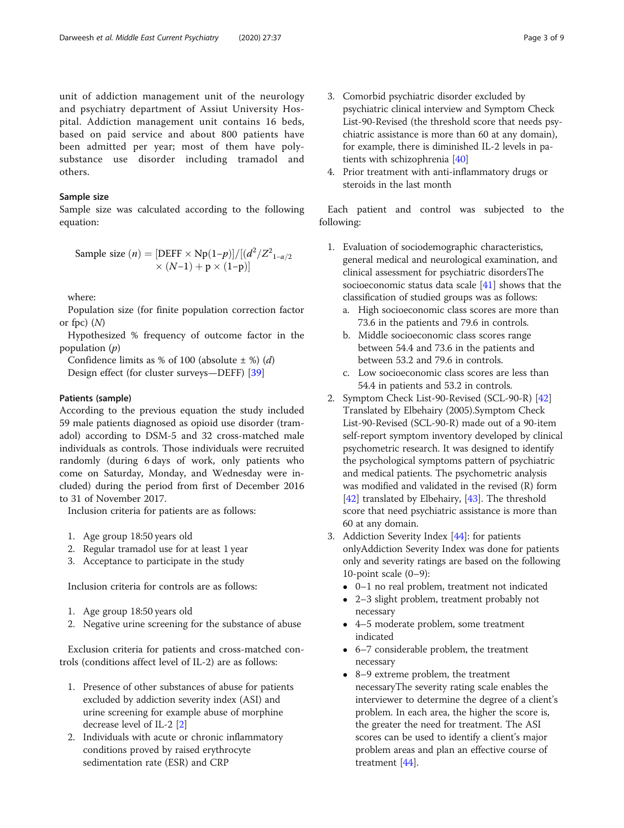unit of addiction management unit of the neurology and psychiatry department of Assiut University Hospital. Addiction management unit contains 16 beds, based on paid service and about 800 patients have been admitted per year; most of them have polysubstance use disorder including tramadol and others.

#### Sample size

Sample size was calculated according to the following equation:

Sample size 
$$
(n) = [DEF \times Np(1-p)]/[(d^2/Z^2_{1-a/2} \times (N-1) + p \times (1-p)]
$$

where:

Population size (for finite population correction factor or fpc)  $(N)$ 

Hypothesized % frequency of outcome factor in the population  $(p)$ 

Confidence limits as % of 100 (absolute  $\pm$  %) (*d*) Design effect (for cluster surveys—DEFF) [[39\]](#page-8-0)

#### Patients (sample)

According to the previous equation the study included 59 male patients diagnosed as opioid use disorder (tramadol) according to DSM-5 and 32 cross-matched male individuals as controls. Those individuals were recruited randomly (during 6 days of work, only patients who come on Saturday, Monday, and Wednesday were included) during the period from first of December 2016 to 31 of November 2017.

Inclusion criteria for patients are as follows:

- 1. Age group 18:50 years old
- 2. Regular tramadol use for at least 1 year
- 3. Acceptance to participate in the study

Inclusion criteria for controls are as follows:

- 1. Age group 18:50 years old
- 2. Negative urine screening for the substance of abuse

Exclusion criteria for patients and cross-matched controls (conditions affect level of IL-2) are as follows:

- 1. Presence of other substances of abuse for patients excluded by addiction severity index (ASI) and urine screening for example abuse of morphine decrease level of IL-2 [\[2\]](#page-7-0)
- 2. Individuals with acute or chronic inflammatory conditions proved by raised erythrocyte sedimentation rate (ESR) and CRP
- 3. Comorbid psychiatric disorder excluded by psychiatric clinical interview and Symptom Check List-90-Revised (the threshold score that needs psychiatric assistance is more than 60 at any domain), for example, there is diminished IL-2 levels in patients with schizophrenia [[40](#page-8-0)]
- 4. Prior treatment with anti-inflammatory drugs or steroids in the last month

Each patient and control was subjected to the following:

- 1. Evaluation of sociodemographic characteristics, general medical and neurological examination, and clinical assessment for psychiatric disordersThe socioeconomic status data scale [[41\]](#page-8-0) shows that the classification of studied groups was as follows:
	- a. High socioeconomic class scores are more than 73.6 in the patients and 79.6 in controls.
	- b. Middle socioeconomic class scores range between 54.4 and 73.6 in the patients and between 53.2 and 79.6 in controls.
	- c. Low socioeconomic class scores are less than 54.4 in patients and 53.2 in controls.
- 2. Symptom Check List-90-Revised (SCL-90-R) [\[42\]](#page-8-0) Translated by Elbehairy (2005).Symptom Check List-90-Revised (SCL-90-R) made out of a 90-item self-report symptom inventory developed by clinical psychometric research. It was designed to identify the psychological symptoms pattern of psychiatric and medical patients. The psychometric analysis was modified and validated in the revised (R) form [[42](#page-8-0)] translated by Elbehairy, [[43](#page-8-0)]. The threshold score that need psychiatric assistance is more than 60 at any domain.
- 3. Addiction Severity Index [[44](#page-8-0)]: for patients onlyAddiction Severity Index was done for patients only and severity ratings are based on the following 10-point scale (0–9):
	- 0–1 no real problem, treatment not indicated
	- 2–3 slight problem, treatment probably not necessary
	- 4–5 moderate problem, some treatment indicated
	- 6–7 considerable problem, the treatment necessary
	- 8–9 extreme problem, the treatment necessaryThe severity rating scale enables the interviewer to determine the degree of a client's problem. In each area, the higher the score is, the greater the need for treatment. The ASI scores can be used to identify a client's major problem areas and plan an effective course of treatment [[44\]](#page-8-0).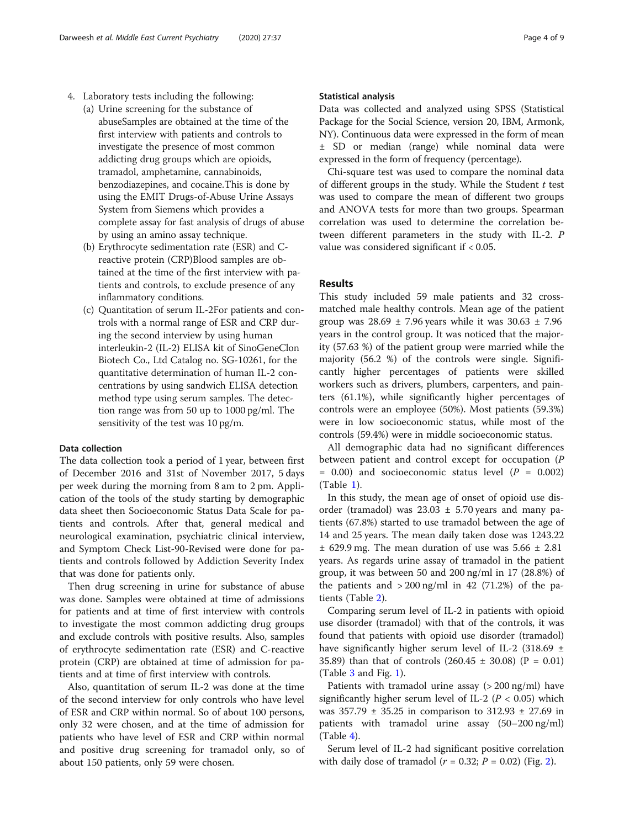- 4. Laboratory tests including the following:
	- (a) Urine screening for the substance of abuseSamples are obtained at the time of the first interview with patients and controls to investigate the presence of most common addicting drug groups which are opioids, tramadol, amphetamine, cannabinoids, benzodiazepines, and cocaine.This is done by using the EMIT Drugs-of-Abuse Urine Assays System from Siemens which provides a complete assay for fast analysis of drugs of abuse by using an amino assay technique.
	- (b) Erythrocyte sedimentation rate (ESR) and Creactive protein (CRP)Blood samples are obtained at the time of the first interview with patients and controls, to exclude presence of any inflammatory conditions.
	- (c) Quantitation of serum IL-2For patients and controls with a normal range of ESR and CRP during the second interview by using human interleukin-2 (IL-2) ELISA kit of SinoGeneClon Biotech Co., Ltd Catalog no. SG-10261, for the quantitative determination of human IL-2 concentrations by using sandwich ELISA detection method type using serum samples. The detection range was from 50 up to 1000 pg/ml. The sensitivity of the test was 10 pg/m.

### Data collection

The data collection took a period of 1 year, between first of December 2016 and 31st of November 2017, 5 days per week during the morning from 8 am to 2 pm. Application of the tools of the study starting by demographic data sheet then Socioeconomic Status Data Scale for patients and controls. After that, general medical and neurological examination, psychiatric clinical interview, and Symptom Check List-90-Revised were done for patients and controls followed by Addiction Severity Index that was done for patients only.

Then drug screening in urine for substance of abuse was done. Samples were obtained at time of admissions for patients and at time of first interview with controls to investigate the most common addicting drug groups and exclude controls with positive results. Also, samples of erythrocyte sedimentation rate (ESR) and C-reactive protein (CRP) are obtained at time of admission for patients and at time of first interview with controls.

Also, quantitation of serum IL-2 was done at the time of the second interview for only controls who have level of ESR and CRP within normal. So of about 100 persons, only 32 were chosen, and at the time of admission for patients who have level of ESR and CRP within normal and positive drug screening for tramadol only, so of about 150 patients, only 59 were chosen.

#### Statistical analysis

Data was collected and analyzed using SPSS (Statistical Package for the Social Science, version 20, IBM, Armonk, NY). Continuous data were expressed in the form of mean ± SD or median (range) while nominal data were expressed in the form of frequency (percentage).

Chi-square test was used to compare the nominal data of different groups in the study. While the Student  $t$  test was used to compare the mean of different two groups and ANOVA tests for more than two groups. Spearman correlation was used to determine the correlation between different parameters in the study with IL-2. P value was considered significant if < 0.05.

## Results

This study included 59 male patients and 32 crossmatched male healthy controls. Mean age of the patient group was  $28.69 \pm 7.96$  years while it was  $30.63 \pm 7.96$ years in the control group. It was noticed that the majority (57.63 %) of the patient group were married while the majority (56.2 %) of the controls were single. Significantly higher percentages of patients were skilled workers such as drivers, plumbers, carpenters, and painters (61.1%), while significantly higher percentages of controls were an employee (50%). Most patients (59.3%) were in low socioeconomic status, while most of the controls (59.4%) were in middle socioeconomic status.

All demographic data had no significant differences between patient and control except for occupation (P  $= 0.00$ ) and socioeconomic status level ( $P = 0.002$ ) (Table [1](#page-4-0)).

In this study, the mean age of onset of opioid use disorder (tramadol) was  $23.03 \pm 5.70$  years and many patients (67.8%) started to use tramadol between the age of 14 and 25 years. The mean daily taken dose was 1243.22  $\pm$  629.9 mg. The mean duration of use was 5.66  $\pm$  2.81 years. As regards urine assay of tramadol in the patient group, it was between 50 and 200 ng/ml in 17 (28.8%) of the patients and  $> 200$  ng/ml in 42 (71.2%) of the patients (Table [2](#page-4-0)).

Comparing serum level of IL-2 in patients with opioid use disorder (tramadol) with that of the controls, it was found that patients with opioid use disorder (tramadol) have significantly higher serum level of IL-2 (318.69  $\pm$ 35.89) than that of controls  $(260.45 \pm 30.08)$  (P = 0.01) (Table [3](#page-5-0) and Fig. [1](#page-5-0)).

Patients with tramadol urine assay  $(> 200 \text{ ng/ml})$  have significantly higher serum level of IL-2 ( $P < 0.05$ ) which was  $357.79 \pm 35.25$  in comparison to  $312.93 \pm 27.69$  in patients with tramadol urine assay (50–200 ng/ml) (Table [4\)](#page-6-0).

Serum level of IL-2 had significant positive correlation with daily dose of tramadol ( $r = 0.32$ ;  $P = 0.02$ ) (Fig. [2\)](#page-6-0).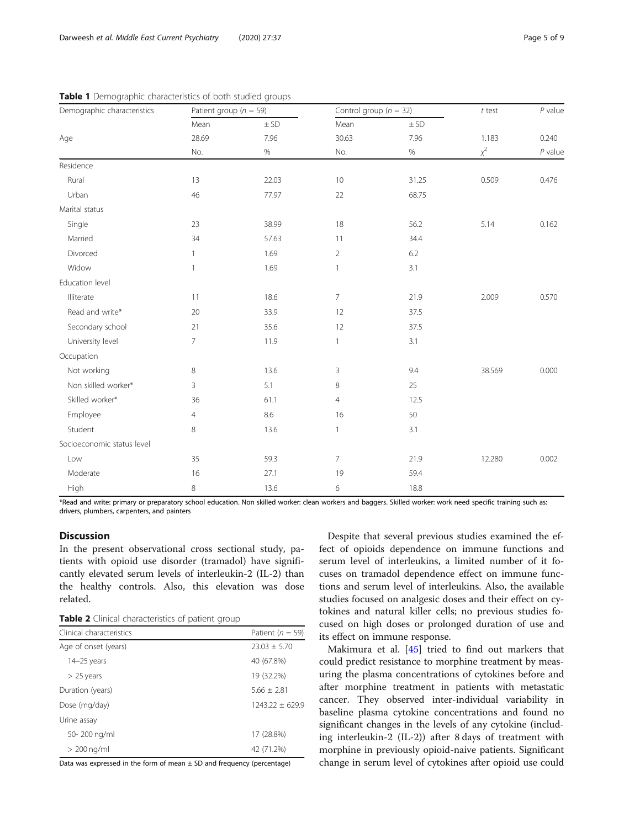| Demographic characteristics<br>Age | Patient group ( $n = 59$ ) |                          | Control group ( $n = 32$ ) |                          | $t$ test          | $P$ value          |           |    |       |    |       |       |       |
|------------------------------------|----------------------------|--------------------------|----------------------------|--------------------------|-------------------|--------------------|-----------|----|-------|----|-------|-------|-------|
|                                    | Mean<br>28.69<br>No.       | $\pm$ SD<br>7.96<br>$\%$ | Mean<br>30.63<br>No.       | $\pm$ SD<br>7.96<br>$\%$ | 1.183<br>$\chi^2$ | 0.240<br>$P$ value |           |    |       |    |       |       |       |
|                                    |                            |                          |                            |                          |                   |                    | Residence |    |       |    |       |       |       |
|                                    |                            |                          |                            |                          |                   |                    | Rural     | 13 | 22.03 | 10 | 31.25 | 0.509 | 0.476 |
| Urban                              | 46                         | 77.97                    | 22                         | 68.75                    |                   |                    |           |    |       |    |       |       |       |
| Marital status                     |                            |                          |                            |                          |                   |                    |           |    |       |    |       |       |       |
| Single                             | 23                         | 38.99                    | 18                         | 56.2                     | 5.14              | 0.162              |           |    |       |    |       |       |       |
| Married                            | 34                         | 57.63                    | 11                         | 34.4                     |                   |                    |           |    |       |    |       |       |       |
| Divorced                           | $\mathbf{1}$               | 1.69                     | $\overline{2}$             | 6.2                      |                   |                    |           |    |       |    |       |       |       |
| Widow                              | $\mathbf{1}$               | 1.69                     | 1                          | 3.1                      |                   |                    |           |    |       |    |       |       |       |
| Education level                    |                            |                          |                            |                          |                   |                    |           |    |       |    |       |       |       |
| Illiterate                         | 11                         | 18.6                     | $\overline{7}$             | 21.9                     | 2.009             | 0.570              |           |    |       |    |       |       |       |
| Read and write*                    | 20                         | 33.9                     | 12                         | 37.5                     |                   |                    |           |    |       |    |       |       |       |
| Secondary school                   | 21                         | 35.6                     | 12                         | 37.5                     |                   |                    |           |    |       |    |       |       |       |
| University level                   | 7                          | 11.9                     | $\mathbf{1}$               | 3.1                      |                   |                    |           |    |       |    |       |       |       |
| Occupation                         |                            |                          |                            |                          |                   |                    |           |    |       |    |       |       |       |
| Not working                        | 8                          | 13.6                     | 3                          | 9.4                      | 38.569            | 0.000              |           |    |       |    |       |       |       |
| Non skilled worker*                | 3                          | 5.1                      | 8                          | 25                       |                   |                    |           |    |       |    |       |       |       |
| Skilled worker*                    | 36                         | 61.1                     | $\overline{4}$             | 12.5                     |                   |                    |           |    |       |    |       |       |       |
| Employee                           | $\overline{4}$             | 8.6                      | 16                         | 50                       |                   |                    |           |    |       |    |       |       |       |
| Student                            | 8                          | 13.6                     | $\mathbf{1}$               | 3.1                      |                   |                    |           |    |       |    |       |       |       |
| Socioeconomic status level         |                            |                          |                            |                          |                   |                    |           |    |       |    |       |       |       |
| Low                                | 35                         | 59.3                     | $\overline{7}$             | 21.9                     | 12.280            | 0.002              |           |    |       |    |       |       |       |
| Moderate                           | 16                         | 27.1                     | 19                         | 59.4                     |                   |                    |           |    |       |    |       |       |       |
| High                               | 8                          | 13.6                     | 6                          | 18.8                     |                   |                    |           |    |       |    |       |       |       |

<span id="page-4-0"></span>Table 1 Demographic characteristics of both studied groups

\*Read and write: primary or preparatory school education. Non skilled worker: clean workers and baggers. Skilled worker: work need specific training such as: drivers, plumbers, carpenters, and painters

## **Discussion**

In the present observational cross sectional study, patients with opioid use disorder (tramadol) have significantly elevated serum levels of interleukin-2 (IL-2) than the healthy controls. Also, this elevation was dose related.

Table 2 Clinical characteristics of patient group

| Clinical characteristics | Patient ( $n = 59$ ) |
|--------------------------|----------------------|
| Age of onset (years)     | $23.03 + 5.70$       |
| $14 - 25$ years          | 40 (67.8%)           |
| $> 25$ years             | 19 (32.2%)           |
| Duration (years)         | $5.66 + 2.81$        |
| Dose (mg/day)            | $1243.22 \pm 629.9$  |
| Urine assay              |                      |
| 50-200 ng/ml             | 17 (28.8%)           |
| $> 200$ ng/ml            | 42 (71.2%)           |

Data was expressed in the form of mean ± SD and frequency (percentage)

Despite that several previous studies examined the effect of opioids dependence on immune functions and serum level of interleukins, a limited number of it focuses on tramadol dependence effect on immune functions and serum level of interleukins. Also, the available studies focused on analgesic doses and their effect on cytokines and natural killer cells; no previous studies focused on high doses or prolonged duration of use and its effect on immune response.

Makimura et al. [[45\]](#page-8-0) tried to find out markers that could predict resistance to morphine treatment by measuring the plasma concentrations of cytokines before and after morphine treatment in patients with metastatic cancer. They observed inter-individual variability in baseline plasma cytokine concentrations and found no significant changes in the levels of any cytokine (including interleukin-2 (IL-2)) after 8 days of treatment with morphine in previously opioid-naive patients. Significant change in serum level of cytokines after opioid use could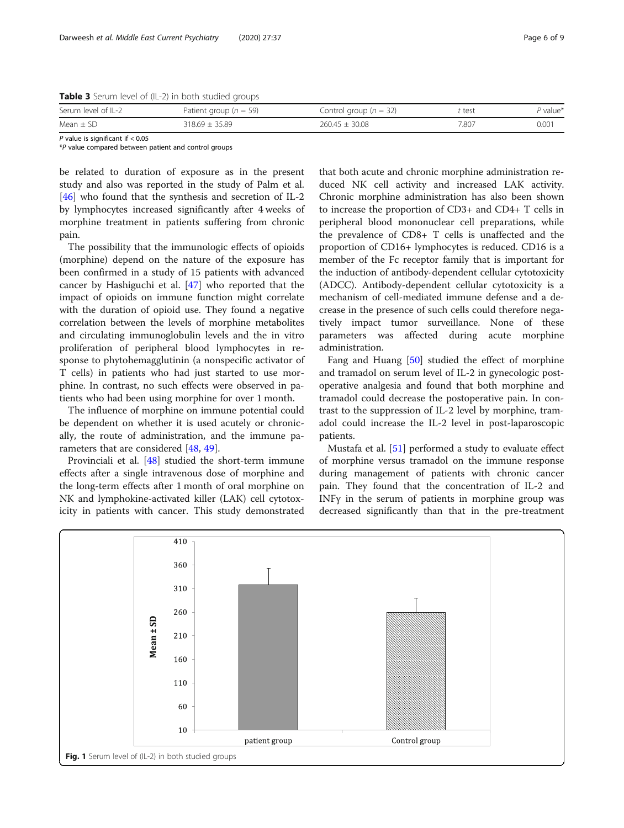<span id="page-5-0"></span>Table 3 Serum level of (IL-2) in both studied groups

| Serum level of IL-2 | Patient group ( $n = 59$ ) | Control group ( $n = 32$ ) | test : | $P$ value* |
|---------------------|----------------------------|----------------------------|--------|------------|
| Mean $\pm$ SD       | $318.69 \pm 35.89$         | $260.45 \pm 30.08$         | 7.807  | 0.001      |

P value is significant if  $< 0.05$ 

\*P value compared between patient and control groups

be related to duration of exposure as in the present study and also was reported in the study of Palm et al. [[46\]](#page-8-0) who found that the synthesis and secretion of IL-2 by lymphocytes increased significantly after 4 weeks of morphine treatment in patients suffering from chronic pain.

The possibility that the immunologic effects of opioids (morphine) depend on the nature of the exposure has been confirmed in a study of 15 patients with advanced cancer by Hashiguchi et al. [[47](#page-8-0)] who reported that the impact of opioids on immune function might correlate with the duration of opioid use. They found a negative correlation between the levels of morphine metabolites and circulating immunoglobulin levels and the in vitro proliferation of peripheral blood lymphocytes in response to phytohemagglutinin (a nonspecific activator of T cells) in patients who had just started to use morphine. In contrast, no such effects were observed in patients who had been using morphine for over 1 month.

The influence of morphine on immune potential could be dependent on whether it is used acutely or chronically, the route of administration, and the immune parameters that are considered [[48,](#page-8-0) [49\]](#page-8-0).

Provinciali et al. [\[48](#page-8-0)] studied the short-term immune effects after a single intravenous dose of morphine and the long-term effects after 1 month of oral morphine on NK and lymphokine-activated killer (LAK) cell cytotoxicity in patients with cancer. This study demonstrated

that both acute and chronic morphine administration reduced NK cell activity and increased LAK activity. Chronic morphine administration has also been shown to increase the proportion of CD3+ and CD4+ T cells in peripheral blood mononuclear cell preparations, while the prevalence of CD8+ T cells is unaffected and the proportion of CD16+ lymphocytes is reduced. CD16 is a member of the Fc receptor family that is important for the induction of antibody-dependent cellular cytotoxicity (ADCC). Antibody-dependent cellular cytotoxicity is a mechanism of cell-mediated immune defense and a decrease in the presence of such cells could therefore negatively impact tumor surveillance. None of these parameters was affected during acute morphine administration.

Fang and Huang [\[50\]](#page-8-0) studied the effect of morphine and tramadol on serum level of IL-2 in gynecologic postoperative analgesia and found that both morphine and tramadol could decrease the postoperative pain. In contrast to the suppression of IL-2 level by morphine, tramadol could increase the IL-2 level in post-laparoscopic patients.

Mustafa et al. [[51\]](#page-8-0) performed a study to evaluate effect of morphine versus tramadol on the immune response during management of patients with chronic cancer pain. They found that the concentration of IL-2 and INFγ in the serum of patients in morphine group was decreased significantly than that in the pre-treatment

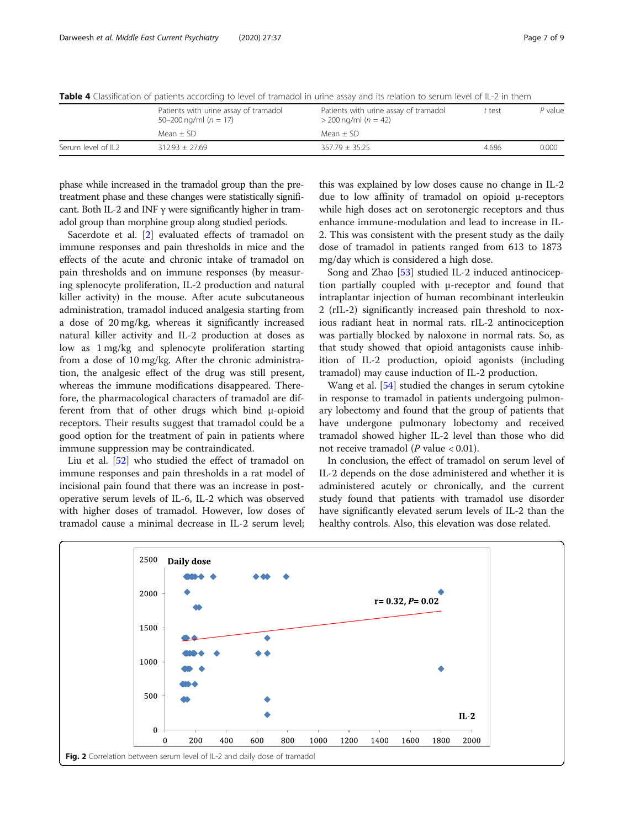<span id="page-6-0"></span>Table 4 Classification of patients according to level of tramadol in urine assay and its relation to serum level of IL-2 in them

|                    | Patients with urine assay of tramadol<br>50–200 ng/ml ( $n = 17$ ) | Patients with urine assay of tramadol<br>$>$ 200 ng/ml ( $n = 42$ ) | t test | P value |
|--------------------|--------------------------------------------------------------------|---------------------------------------------------------------------|--------|---------|
|                    | Mean $+$ SD                                                        | Mean $+$ SD                                                         |        |         |
| Serum level of IL2 | $312.93 \pm 27.69$                                                 | $357.79 \pm 35.25$                                                  | 4.686  | 0.000   |
|                    |                                                                    |                                                                     |        |         |

phase while increased in the tramadol group than the pretreatment phase and these changes were statistically significant. Both IL-2 and INF  $\gamma$  were significantly higher in tramadol group than morphine group along studied periods.

Sacerdote et al. [[2\]](#page-7-0) evaluated effects of tramadol on immune responses and pain thresholds in mice and the effects of the acute and chronic intake of tramadol on pain thresholds and on immune responses (by measuring splenocyte proliferation, IL-2 production and natural killer activity) in the mouse. After acute subcutaneous administration, tramadol induced analgesia starting from a dose of 20 mg/kg, whereas it significantly increased natural killer activity and IL-2 production at doses as low as 1 mg/kg and splenocyte proliferation starting from a dose of 10 mg/kg. After the chronic administration, the analgesic effect of the drug was still present, whereas the immune modifications disappeared. Therefore, the pharmacological characters of tramadol are different from that of other drugs which bind μ-opioid receptors. Their results suggest that tramadol could be a good option for the treatment of pain in patients where immune suppression may be contraindicated.

Liu et al. [[52](#page-8-0)] who studied the effect of tramadol on immune responses and pain thresholds in a rat model of incisional pain found that there was an increase in postoperative serum levels of IL-6, IL-2 which was observed with higher doses of tramadol. However, low doses of tramadol cause a minimal decrease in IL-2 serum level;

this was explained by low doses cause no change in IL-2 due to low affinity of tramadol on opioid μ-receptors while high doses act on serotonergic receptors and thus enhance immune-modulation and lead to increase in IL-2. This was consistent with the present study as the daily dose of tramadol in patients ranged from 613 to 1873 mg/day which is considered a high dose.

Song and Zhao [\[53\]](#page-8-0) studied IL-2 induced antinociception partially coupled with μ-receptor and found that intraplantar injection of human recombinant interleukin 2 (rIL-2) significantly increased pain threshold to noxious radiant heat in normal rats. rIL-2 antinociception was partially blocked by naloxone in normal rats. So, as that study showed that opioid antagonists cause inhibition of IL-2 production, opioid agonists (including tramadol) may cause induction of IL-2 production.

Wang et al. [[54](#page-8-0)] studied the changes in serum cytokine in response to tramadol in patients undergoing pulmonary lobectomy and found that the group of patients that have undergone pulmonary lobectomy and received tramadol showed higher IL-2 level than those who did not receive tramadol (P value < 0.01).

In conclusion, the effect of tramadol on serum level of IL-2 depends on the dose administered and whether it is administered acutely or chronically, and the current study found that patients with tramadol use disorder have significantly elevated serum levels of IL-2 than the healthy controls. Also, this elevation was dose related.

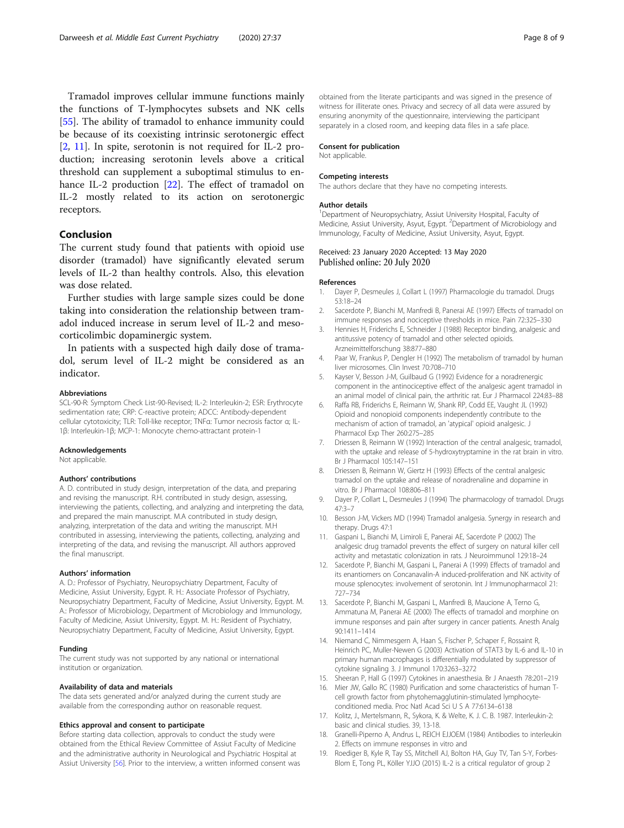<span id="page-7-0"></span>Tramadol improves cellular immune functions mainly the functions of T-lymphocytes subsets and NK cells [[55\]](#page-8-0). The ability of tramadol to enhance immunity could be because of its coexisting intrinsic serotonergic effect [2, 11]. In spite, serotonin is not required for IL-2 production; increasing serotonin levels above a critical threshold can supplement a suboptimal stimulus to en-hance IL-2 production [[22](#page-8-0)]. The effect of tramadol on IL-2 mostly related to its action on serotonergic receptors.

## Conclusion

The current study found that patients with opioid use disorder (tramadol) have significantly elevated serum levels of IL-2 than healthy controls. Also, this elevation was dose related.

Further studies with large sample sizes could be done taking into consideration the relationship between tramadol induced increase in serum level of IL-2 and mesocorticolimbic dopaminergic system.

In patients with a suspected high daily dose of tramadol, serum level of IL-2 might be considered as an indicator.

#### **Abbreviations**

SCL-90-R: Symptom Check List-90-Revised; IL-2: Interleukin-2; ESR: Erythrocyte sedimentation rate; CRP: C-reactive protein; ADCC: Antibody-dependent cellular cytotoxicity; TLR: Toll-like receptor; TNFα: Tumor necrosis factor α; IL-1β: Interleukin-1β; MCP-1: Monocyte chemo-attractant protein-1

#### Acknowledgements

Not applicable.

#### Authors' contributions

A. D. contributed in study design, interpretation of the data, and preparing and revising the manuscript. R.H. contributed in study design, assessing, interviewing the patients, collecting, and analyzing and interpreting the data, and prepared the main manuscript. M.A contributed in study design, analyzing, interpretation of the data and writing the manuscript. M.H contributed in assessing, interviewing the patients, collecting, analyzing and interpreting of the data, and revising the manuscript. All authors approved the final manuscript.

#### Authors' information

A. D.: Professor of Psychiatry, Neuropsychiatry Department, Faculty of Medicine, Assiut University, Egypt. R. H.: Associate Professor of Psychiatry, Neuropsychiatry Department, Faculty of Medicine, Assiut University, Egypt. M. A.: Professor of Microbiology, Department of Microbiology and Immunology, Faculty of Medicine, Assiut University, Egypt. M. H.: Resident of Psychiatry, Neuropsychiatry Department, Faculty of Medicine, Assiut University, Egypt.

#### Funding

The current study was not supported by any national or international institution or organization.

#### Availability of data and materials

The data sets generated and/or analyzed during the current study are available from the corresponding author on reasonable request.

#### Ethics approval and consent to participate

Before starting data collection, approvals to conduct the study were obtained from the Ethical Review Committee of Assiut Faculty of Medicine and the administrative authority in Neurological and Psychiatric Hospital at Assiut University [\[56](#page-8-0)]. Prior to the interview, a written informed consent was obtained from the literate participants and was signed in the presence of witness for illiterate ones. Privacy and secrecy of all data were assured by ensuring anonymity of the questionnaire, interviewing the participant separately in a closed room, and keeping data files in a safe place.

#### Consent for publication

Not applicable.

#### Competing interests

The authors declare that they have no competing interests.

#### Author details

<sup>1</sup>Department of Neuropsychiatry, Assiut University Hospital, Faculty of Medicine, Assiut University, Asyut, Egypt. <sup>2</sup>Department of Microbiology and Immunology, Faculty of Medicine, Assiut University, Asyut, Egypt.

#### Received: 23 January 2020 Accepted: 13 May 2020 Published online: 20 July 2020

#### References

- Dayer P, Desmeules J, Collart L (1997) Pharmacologie du tramadol. Drugs 53:18–24
- 2. Sacerdote P, Bianchi M, Manfredi B, Panerai AE (1997) Effects of tramadol on immune responses and nociceptive thresholds in mice. Pain 72:325–330
- 3. Hennies H, Friderichs E, Schneider J (1988) Receptor binding, analgesic and antitussive potency of tramadol and other selected opioids. Arzneimittelforschung 38:877–880
- 4. Paar W, Frankus P, Dengler H (1992) The metabolism of tramadol by human liver microsomes. Clin Invest 70:708–710
- 5. Kayser V, Besson J-M, Guilbaud G (1992) Evidence for a noradrenergic component in the antinociceptive effect of the analgesic agent tramadol in an animal model of clinical pain, the arthritic rat. Eur J Pharmacol 224:83–88
- 6. Raffa RB, Friderichs E, Reimann W, Shank RP, Codd EE, Vaught JL (1992) Opioid and nonopioid components independently contribute to the mechanism of action of tramadol, an 'atypical' opioid analgesic. J Pharmacol Exp Ther 260:275–285
- 7. Driessen B, Reimann W (1992) Interaction of the central analgesic, tramadol, with the uptake and release of 5-hydroxytryptamine in the rat brain in vitro. Br J Pharmacol 105:147–151
- 8. Driessen B, Reimann W, Giertz H (1993) Effects of the central analgesic tramadol on the uptake and release of noradrenaline and dopamine in vitro. Br J Pharmacol 108:806–811
- 9. Dayer P, Collart L, Desmeules J (1994) The pharmacology of tramadol. Drugs 47:3–7
- 10. Besson J-M, Vickers MD (1994) Tramadol analgesia. Synergy in research and therapy. Drugs 47:1
- 11. Gaspani L, Bianchi M, Limiroli E, Panerai AE, Sacerdote P (2002) The analgesic drug tramadol prevents the effect of surgery on natural killer cell activity and metastatic colonization in rats. J Neuroimmunol 129:18–24
- 12. Sacerdote P, Bianchi M, Gaspani L, Panerai A (1999) Effects of tramadol and its enantiomers on Concanavalin-A induced-proliferation and NK activity of mouse splenocytes: involvement of serotonin. Int J Immunopharmacol 21: 727–734
- 13. Sacerdote P, Bianchi M, Gaspani L, Manfredi B, Maucione A, Terno G, Ammatuna M, Panerai AE (2000) The effects of tramadol and morphine on immune responses and pain after surgery in cancer patients. Anesth Analg 90:1411–1414
- 14. Niemand C, Nimmesgern A, Haan S, Fischer P, Schaper F, Rossaint R, Heinrich PC, Muller-Newen G (2003) Activation of STAT3 by IL-6 and IL-10 in primary human macrophages is differentially modulated by suppressor of cytokine signaling 3. J Immunol 170:3263–3272
- 15. Sheeran P, Hall G (1997) Cytokines in anaesthesia. Br J Anaesth 78:201–219
- 16. Mier JW, Gallo RC (1980) Purification and some characteristics of human Tcell growth factor from phytohemagglutinin-stimulated lymphocyteconditioned media. Proc Natl Acad Sci U S A 77:6134–6138
- 17. Kolitz, J., Mertelsmann, R., Sykora, K. & Welte, K. J. C. B. 1987. Interleukin-2: basic and clinical studies. 39, 13-18.
- 18. Granelli-Piperno A, Andrus L, REICH EJJOEM (1984) Antibodies to interleukin 2. Effects on immune responses in vitro and
- 19. Roediger B, Kyle R, Tay SS, Mitchell AJ, Bolton HA, Guy TV, Tan S-Y, Forbes-Blom E, Tong PL, Köller YJJO (2015) IL-2 is a critical regulator of group 2